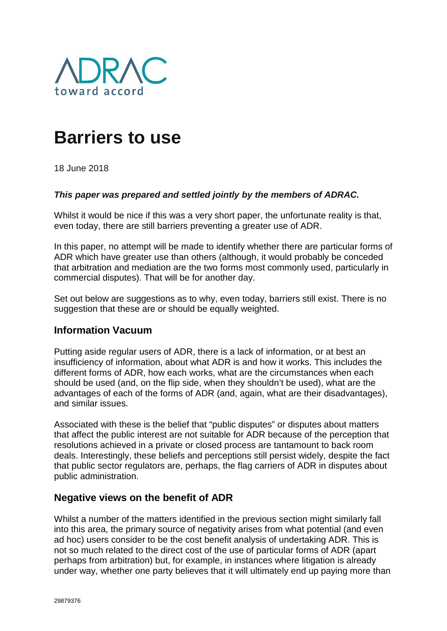

# **Barriers to use**

18 June 2018

#### *This paper was prepared and settled jointly by the members of ADRAC.*

Whilst it would be nice if this was a very short paper, the unfortunate reality is that, even today, there are still barriers preventing a greater use of ADR.

In this paper, no attempt will be made to identify whether there are particular forms of ADR which have greater use than others (although, it would probably be conceded that arbitration and mediation are the two forms most commonly used, particularly in commercial disputes). That will be for another day.

Set out below are suggestions as to why, even today, barriers still exist. There is no suggestion that these are or should be equally weighted.

## **Information Vacuum**

Putting aside regular users of ADR, there is a lack of information, or at best an insufficiency of information, about what ADR is and how it works. This includes the different forms of ADR, how each works, what are the circumstances when each should be used (and, on the flip side, when they shouldn't be used), what are the advantages of each of the forms of ADR (and, again, what are their disadvantages), and similar issues.

Associated with these is the belief that "public disputes" or disputes about matters that affect the public interest are not suitable for ADR because of the perception that resolutions achieved in a private or closed process are tantamount to back room deals. Interestingly, these beliefs and perceptions still persist widely, despite the fact that public sector regulators are, perhaps, the flag carriers of ADR in disputes about public administration.

## **Negative views on the benefit of ADR**

Whilst a number of the matters identified in the previous section might similarly fall into this area, the primary source of negativity arises from what potential (and even ad hoc) users consider to be the cost benefit analysis of undertaking ADR. This is not so much related to the direct cost of the use of particular forms of ADR (apart perhaps from arbitration) but, for example, in instances where litigation is already under way, whether one party believes that it will ultimately end up paying more than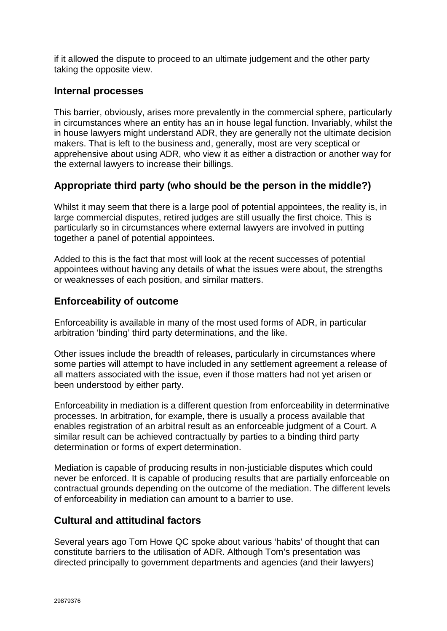if it allowed the dispute to proceed to an ultimate judgement and the other party taking the opposite view.

## **Internal processes**

This barrier, obviously, arises more prevalently in the commercial sphere, particularly in circumstances where an entity has an in house legal function. Invariably, whilst the in house lawyers might understand ADR, they are generally not the ultimate decision makers. That is left to the business and, generally, most are very sceptical or apprehensive about using ADR, who view it as either a distraction or another way for the external lawyers to increase their billings.

# **Appropriate third party (who should be the person in the middle?)**

Whilst it may seem that there is a large pool of potential appointees, the reality is, in large commercial disputes, retired judges are still usually the first choice. This is particularly so in circumstances where external lawyers are involved in putting together a panel of potential appointees.

Added to this is the fact that most will look at the recent successes of potential appointees without having any details of what the issues were about, the strengths or weaknesses of each position, and similar matters.

# **Enforceability of outcome**

Enforceability is available in many of the most used forms of ADR, in particular arbitration 'binding' third party determinations, and the like.

Other issues include the breadth of releases, particularly in circumstances where some parties will attempt to have included in any settlement agreement a release of all matters associated with the issue, even if those matters had not yet arisen or been understood by either party.

Enforceability in mediation is a different question from enforceability in determinative processes. In arbitration, for example, there is usually a process available that enables registration of an arbitral result as an enforceable judgment of a Court. A similar result can be achieved contractually by parties to a binding third party determination or forms of expert determination.

Mediation is capable of producing results in non-justiciable disputes which could never be enforced. It is capable of producing results that are partially enforceable on contractual grounds depending on the outcome of the mediation. The different levels of enforceability in mediation can amount to a barrier to use.

## **Cultural and attitudinal factors**

Several years ago Tom Howe QC spoke about various 'habits' of thought that can constitute barriers to the utilisation of ADR. Although Tom's presentation was directed principally to government departments and agencies (and their lawyers)